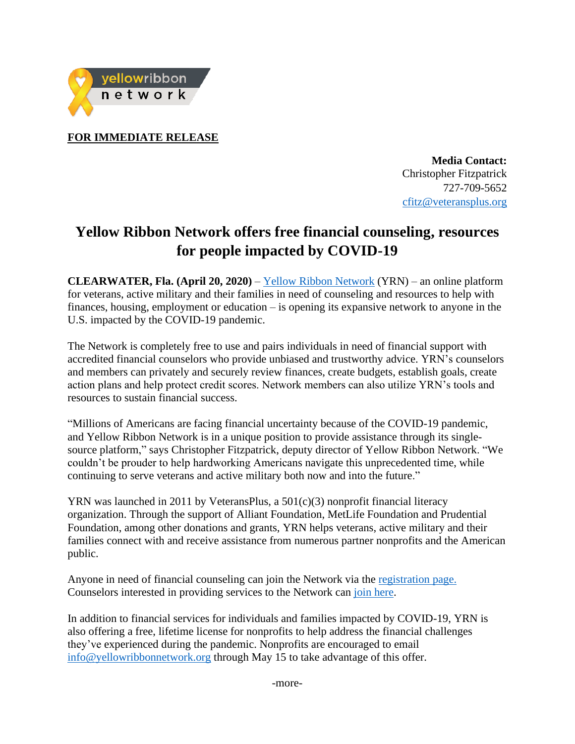

**FOR IMMEDIATE RELEASE**

**Media Contact:** Christopher Fitzpatrick 727-709-5652 [cfitz@veteransplus.org](mailto:cfitz@veteransplus.org)

## **Yellow Ribbon Network offers free financial counseling, resources for people impacted by COVID-19**

**CLEARWATER, Fla. (April 20, 2020)** – [Yellow Ribbon Network](https://www.yellowribbonnetwork.org/) (YRN) – an online platform for veterans, active military and their families in need of counseling and resources to help with finances, housing, employment or education – is opening its expansive network to anyone in the U.S. impacted by the COVID-19 pandemic.

The Network is completely free to use and pairs individuals in need of financial support with accredited financial counselors who provide unbiased and trustworthy advice. YRN's counselors and members can privately and securely review finances, create budgets, establish goals, create action plans and help protect credit scores. Network members can also utilize YRN's tools and resources to sustain financial success.

"Millions of Americans are facing financial uncertainty because of the COVID-19 pandemic, and Yellow Ribbon Network is in a unique position to provide assistance through its singlesource platform," says Christopher Fitzpatrick, deputy director of Yellow Ribbon Network. "We couldn't be prouder to help hardworking Americans navigate this unprecedented time, while continuing to serve veterans and active military both now and into the future."

YRN was launched in 2011 by VeteransPlus, a  $501(c)(3)$  nonprofit financial literacy organization. Through the support of Alliant Foundation, MetLife Foundation and Prudential Foundation, among other donations and grants, YRN helps veterans, active military and their families connect with and receive assistance from numerous partner nonprofits and the American public.

Anyone in need of financial counseling can join the Network via the [registration page.](https://www.yellowribbonnetwork.org/covid-19) Counselors interested in providing services to the Network can [join here.](https://www.yellowribbonnetwork.org/join/counselor)

In addition to financial services for individuals and families impacted by COVID-19, YRN is also offering a free, lifetime license for nonprofits to help address the financial challenges they've experienced during the pandemic. Nonprofits are encouraged to email [info@yellowribbonnetwork.org](mailto:info@yellowribbonnetwork.org) through May 15 to take advantage of this offer.